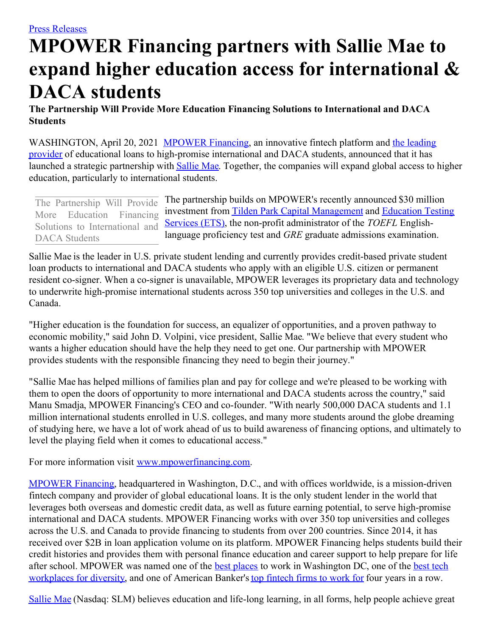## **MPOWER Financing partners with Sallie Mae to expand higher education access for international & DACA students**

**The Partnership Will Provide More Education Financing Solutions to International and DACA Students**

[WASHINGTON,](https://c212.net/c/link/?t=0&l=en&o=3128895-1&h=813174302&u=https%3A%2F%2Fwww.mpowerfinancing.com%2Ftop-international-student-lender%2F&a=the+leading+provider) April 20, 2021 [MPOWER](https://c212.net/c/link/?t=0&l=en&o=3128895-1&h=1546907689&u=https%3A%2F%2Fwww.mpowerfinancing.com%2F&a=MPOWER+Financing) Financing, an innovative fintech platform and the leading provider of educational loans to high-promise international and DACA students, announced that it has launched a strategic partnership with **[Sallie](https://c212.net/c/link/?t=0&l=en&o=3128895-1&h=3795755470&u=https%3A%2F%2Fwww.salliemae.com%2F&a=Sallie+Mae) Mae**. Together, the companies will expand global access to higher education, particularly to international students.

The partnership builds on MPOWER's recently announced \$30 million investment from Tilden Park Capital [Management](https://c212.net/c/link/?t=0&l=en&o=3128895-1&h=2106950246&u=http%3A%2F%2Ftildenparkcapital.com%2F&a=Tilden+Park+Capital+Management) and Education Testing Services (ETS), the non-profit [administrator](https://c212.net/c/link/?t=0&l=en&o=3128895-1&h=120709805&u=https%3A%2F%2Fwww.ets.org%2F&a=Education+Testing+Services+(ETS)) of the *TOEFL* Englishlanguage proficiency test and *GRE* graduate admissions examination. The Partnership Will Provide More Education Financing Solutions to International and DACA Students

Sallie Mae is the leader in U.S. private student lending and currently provides credit-based private student loan products to international and DACA students who apply with an eligible U.S. citizen or permanent resident co-signer. When a co-signer is unavailable, MPOWER leverages its proprietary data and technology to underwrite high-promise international students across 350 top universities and colleges in the U.S. and Canada.

"Higher education is the foundation for success, an equalizer of opportunities, and a proven pathway to economic mobility," said John D. Volpini, vice president, Sallie Mae. "We believe that every student who wants a higher education should have the help they need to get one. Our partnership with MPOWER provides students with the responsible financing they need to begin their journey."

"Sallie Mae has helped millions of families plan and pay for college and we're pleased to be working with them to open the doors of opportunity to more international and DACA students across the country," said Manu Smadja, MPOWER Financing's CEO and co-founder. "With nearly 500,000 DACA students and 1.1 million international students enrolled in U.S. colleges, and many more students around the globe dreaming of studying here, we have a lot of work ahead of us to build awareness of financing options, and ultimately to level the playing field when it comes to educational access."

For more information visit [www.mpowerfinancing.com](https://c212.net/c/link/?t=0&l=en&o=3128895-1&h=897476093&u=http%3A%2F%2Fwww.mpowerfinancing.com%2F&a=www.mpowerfinancing.com).

[MPOWER](https://c212.net/c/link/?t=0&l=en&o=3128895-1&h=1546907689&u=https%3A%2F%2Fwww.mpowerfinancing.com%2F&a=MPOWER+Financing) Financing, headquartered in Washington, D.C., and with offices worldwide, is a mission-driven fintech company and provider of global educational loans. It is the only student lender in the world that leverages both overseas and domestic credit data, as well as future earning potential, to serve high-promise international and DACA students. MPOWER Financing works with over 350 top universities and colleges across the U.S. and Canada to provide financing to students from over 200 countries. Since 2014, it has received over \$2B in loan application volume on its platform. MPOWER Financing helps students build their credit histories and provides them with personal finance education and career support to help prepare for life after school. MPOWER was named one of the **best [places](https://c212.net/c/link/?t=0&l=en&o=3128895-1&h=2322436478&u=https%3A%2F%2Fblog.techinmotionevents.com%2Fblog%2Fbest-tech-places-to-work-in-dc&a=best+places)** to work in [Washington](https://c212.net/c/link/?t=0&l=en&o=3128895-1&h=2238491493&u=https%3A%2F%2Fblog.techinmotionevents.com%2Fblog%2Fthe-timmy-awards-finalists-2019-best-in-tech-workplaces&a=best+tech+workplaces+for+diversity) DC, one of the **best tech** workplaces for diversity, and one of American Banker's top [fintech](https://c212.net/c/link/?t=0&l=en&o=3128895-1&h=2157781765&u=https%3A%2F%2Fwww.americanbanker.com%2Flist%2Fbest-fintechs-to-work-for&a=top+fintech+firms+to+work+for) firms to work for four years in a row.

[Sallie](https://c212.net/c/link/?t=0&l=en&o=3128895-1&h=3795755470&u=https%3A%2F%2Fwww.salliemae.com%2F&a=Sallie+Mae) Mae (Nasdaq: SLM) believes education and life-long learning, in all forms, help people achieve great